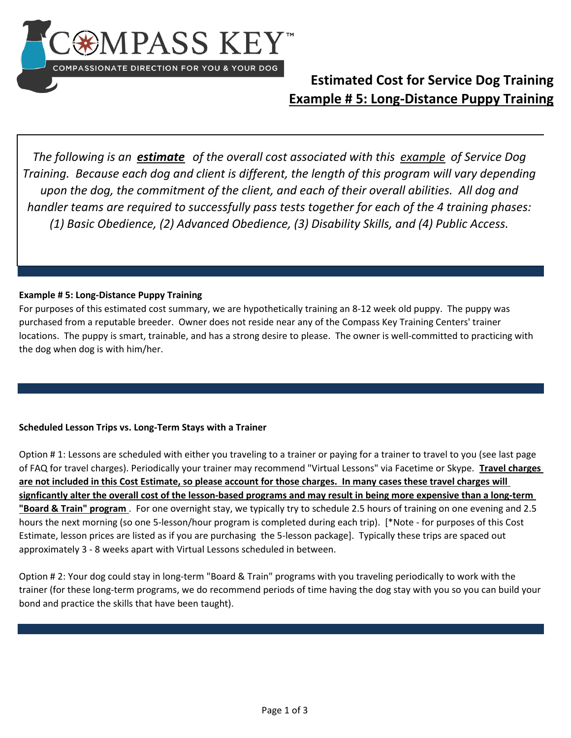

### **Estimated Cost for Service Dog Training Example # 5: Long-Distance Puppy Training**

*The following is an estimate of the overall cost associated with this example of Service Dog Training. Because each dog and client is different, the length of this program will vary depending upon the dog, the commitment of the client, and each of their overall abilities. All dog and handler teams are required to successfully pass tests together for each of the 4 training phases: (1) Basic Obedience, (2) Advanced Obedience, (3) Disability Skills, and (4) Public Access.* 

#### **Example # 5: Long-Distance Puppy Training**

For purposes of this estimated cost summary, we are hypothetically training an 8-12 week old puppy. The puppy was purchased from a reputable breeder. Owner does not reside near any of the Compass Key Training Centers' trainer locations. The puppy is smart, trainable, and has a strong desire to please. The owner is well-committed to practicing with the dog when dog is with him/her.

### **Scheduled Lesson Trips vs. Long-Term Stays with a Trainer**

Option # 1: Lessons are scheduled with either you traveling to a trainer or paying for a trainer to travel to you (see last page of FAQ for travel charges). Periodically your trainer may recommend "Virtual Lessons" via Facetime or Skype. **Travel charges are not included in this Cost Estimate, so please account for those charges. In many cases these travel charges will signficantly alter the overall cost of the lesson-based programs and may result in being more expensive than a long-term "Board & Train" program** . For one overnight stay, we typically try to schedule 2.5 hours of training on one evening and 2.5 hours the next morning (so one 5-lesson/hour program is completed during each trip). [\*Note - for purposes of this Cost Estimate, lesson prices are listed as if you are purchasing the 5-lesson package]. Typically these trips are spaced out approximately 3 - 8 weeks apart with Virtual Lessons scheduled in between.

Option # 2: Your dog could stay in long-term "Board & Train" programs with you traveling periodically to work with the trainer (for these long-term programs, we do recommend periods of time having the dog stay with you so you can build your bond and practice the skills that have been taught).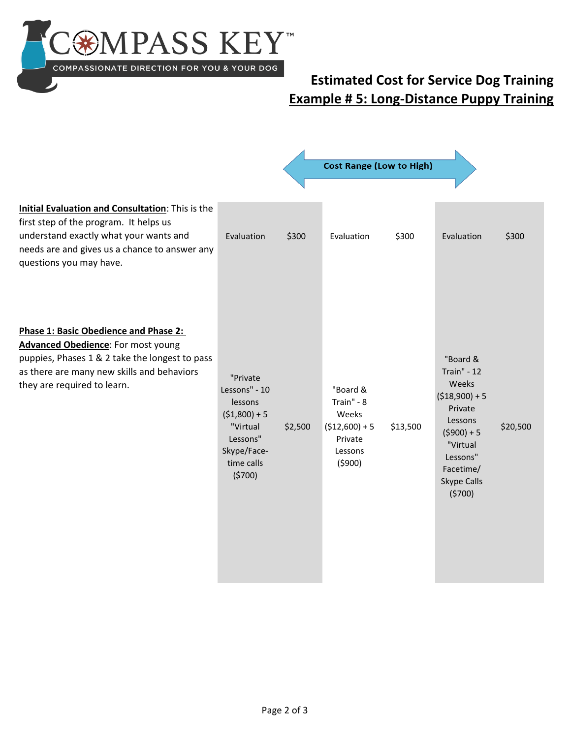

# **Estimated Cost for Service Dog Training Example # 5: Long-Distance Puppy Training**

|                                                                                                                                                                                                                   |                                                                                                                       |         | <b>Cost Range (Low to High)</b>                                                    |          |                                                                                                                                                                |          |  |
|-------------------------------------------------------------------------------------------------------------------------------------------------------------------------------------------------------------------|-----------------------------------------------------------------------------------------------------------------------|---------|------------------------------------------------------------------------------------|----------|----------------------------------------------------------------------------------------------------------------------------------------------------------------|----------|--|
| Initial Evaluation and Consultation: This is the<br>first step of the program. It helps us<br>understand exactly what your wants and<br>needs are and gives us a chance to answer any<br>questions you may have.  | Evaluation                                                                                                            | \$300   | Evaluation                                                                         | \$300    | Evaluation                                                                                                                                                     | \$300    |  |
| Phase 1: Basic Obedience and Phase 2:<br><b>Advanced Obedience:</b> For most young<br>puppies, Phases 1 & 2 take the longest to pass<br>as there are many new skills and behaviors<br>they are required to learn. | "Private<br>Lessons" - 10<br>lessons<br>$(51,800) + 5$<br>"Virtual<br>Lessons"<br>Skype/Face-<br>time calls<br>(5700) | \$2,500 | "Board &<br>Train" - 8<br>Weeks<br>$($12,600) + 5$<br>Private<br>Lessons<br>(5900) | \$13,500 | "Board &<br><b>Train" - 12</b><br>Weeks<br>$($18,900) + 5$<br>Private<br>Lessons<br>$(5900) + 5$<br>"Virtual<br>Lessons"<br>Facetime/<br>Skype Calls<br>(5700) | \$20,500 |  |